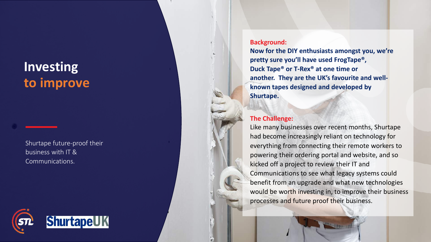## **Investin g to improve**

Shurtape future -proof their business with IT & Communications.



## **Background:**

**Now for the DIY enthusiasts amongst you, we're pretty sure you'll have used FrogTape®, Duck Tape® or T -Rex® at one time or another. They are the UK's favourite and well known tapes designed and developed by Shurtape .**

## **The Challenge:**

Like many businesses over recent months, Shurtape had become increasingly reliant on technology for everything from connecting their remote workers to powering their ordering portal and website, and so kicked off a project to review their IT and Communications to see what legacy systems could benefit from an upgrade and what new technologies would be worth investing in, to improve their business processes and future proof their business.